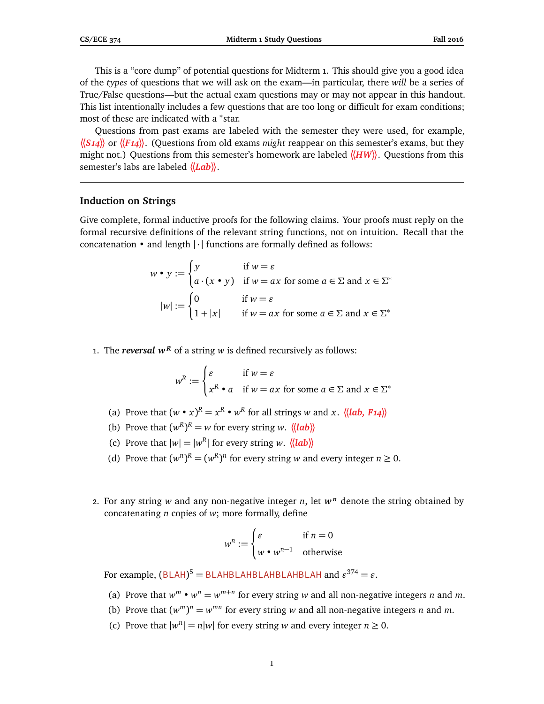This is a "core dump" of potential questions for Midterm 1. This should give you a good idea of the *types* of questions that we will ask on the exam—in particular, there *will* be a series of True/False questions—but the actual exam questions may or may not appear in this handout. This list intentionally includes a few questions that are too long or difficult for exam conditions; most of these are indicated with a <sup>∗</sup>star.

Questions from past exams are labeled with the semester they were used, for example, **〈〈***S14***〉〉** or **〈〈***F14***〉〉**. (Questions from old exams *might* reappear on this semester's exams, but they might not.) Questions from this semester's homework are labeled **〈〈***HW***〉〉**. Questions from this semester's labs are labeled **〈〈***Lab***〉〉**.

## **Induction on Strings**

Give complete, formal inductive proofs for the following claims. Your proofs must reply on the formal recursive definitions of the relevant string functions, not on intuition. Recall that the concatenation  $\bullet$  and length  $|\cdot|$  functions are formally defined as follows:

$$
w \bullet y := \begin{cases} y & \text{if } w = \varepsilon \\ a \cdot (x \bullet y) & \text{if } w = ax \text{ for some } a \in \Sigma \text{ and } x \in \Sigma^* \end{cases}
$$

$$
|w| := \begin{cases} 0 & \text{if } w = \varepsilon \\ 1 + |x| & \text{if } w = ax \text{ for some } a \in \Sigma \text{ and } x \in \Sigma^* \end{cases}
$$

1. The *reversal*  $w^R$  of a string *w* is defined recursively as follows:

$$
w^{R} := \begin{cases} \varepsilon & \text{if } w = \varepsilon \\ x^{R} \bullet a & \text{if } w = ax \text{ for some } a \in \Sigma \text{ and } x \in \Sigma^* \end{cases}
$$

- (a) Prove that  $(w \cdot x)^R = x^R \cdot w^R$  for all strings *w* and *x*.  $\langle \langle \text{lab, F14} \rangle \rangle$
- (b) Prove that  $(w^R)^R = w$  for every string *w*.  $\langle \langle \mathbf{lab} \rangle \rangle$
- (c) Prove that  $|w| = |w^R|$  for every string *w*.  $\langle \langle lab \rangle \rangle$
- (d) Prove that  $(w^n)^R = (w^R)^n$  for every string *w* and every integer  $n \ge 0$ .
- 2. For any string *w* and any non-negative integer *n*, let  $w^n$  denote the string obtained by concatenating *n* copies of *w*; more formally, define

$$
w^n := \begin{cases} \varepsilon & \text{if } n = 0\\ w \bullet w^{n-1} & \text{otherwise} \end{cases}
$$

For example,  $(BLAH)^5 = BLAHBLAHBLAHBLAHBLAH ALAH$ 

- (a) Prove that  $w^m \cdot w^n = w^{m+n}$  for every string *w* and all non-negative integers *n* and *m*.
- (b) Prove that  $(w^m)^n = w^{mn}$  for every string *w* and all non-negative integers *n* and *m*.
- (c) Prove that  $|w^n| = n|w|$  for every string *w* and every integer  $n \ge 0$ .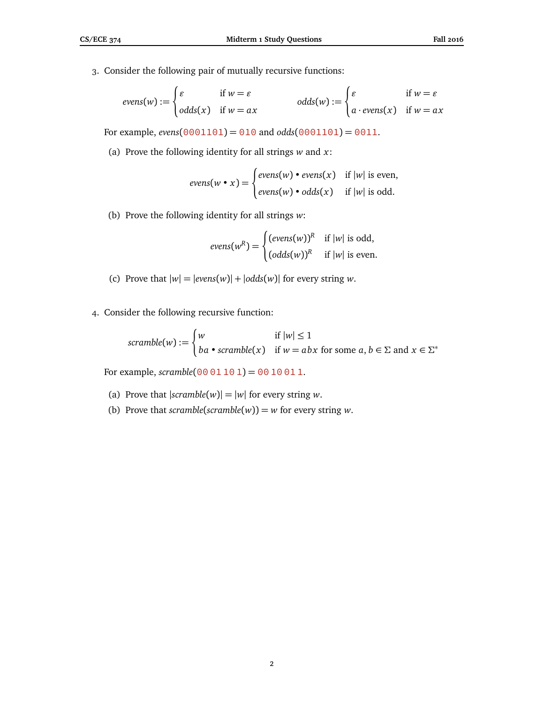3. Consider the following pair of mutually recursive functions:

$$
evens(w) := \begin{cases} \varepsilon & \text{if } w = \varepsilon \\ odds(x) & \text{if } w = ax \end{cases} odds(w) := \begin{cases} \varepsilon & \text{if } w = \varepsilon \\ a \cdot evens(x) & \text{if } w = ax \end{cases}
$$

For example, *evens*( $0001101$ ) =  $010$  and  $odds(0001101)$  =  $0011$ .

(a) Prove the following identity for all strings *w* and *x*:

$$
evens(w \bullet x) = \begin{cases} evens(w) \bullet evens(x) & \text{if } |w| \text{ is even,} \\ evens(w) \bullet odds(x) & \text{if } |w| \text{ is odd.} \end{cases}
$$

(b) Prove the following identity for all strings *w*:

$$
evens(w^R) = \begin{cases} (evens(w))^R & \text{if } |w| \text{ is odd,} \\ (odd s(w))^R & \text{if } |w| \text{ is even.} \end{cases}
$$

- (c) Prove that  $|w| = |evens(w)| + |odds(w)|$  for every string *w*.
- 4. Consider the following recursive function:

$$
scramble(w) := \begin{cases} w & \text{if } |w| \le 1 \\ ba \cdot scramble(x) & \text{if } w = abx \text{ for some } a, b \in \Sigma \text{ and } x \in \Sigma^* \end{cases}
$$

For example,  $scramble(00 01 10 1) = 00 10 01 1$ .

- (a) Prove that  $|scramble(w)| = |w|$  for every string *w*.
- (b) Prove that *scramble*( $scramble(w)$ ) =  $w$  for every string  $w$ .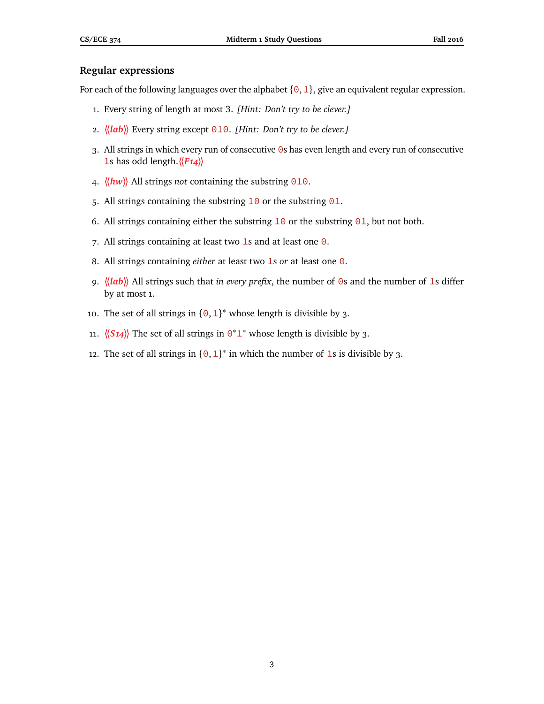# **Regular expressions**

For each of the following languages over the alphabet  $\{0, 1\}$ , give an equivalent regular expression.

- 1. Every string of length at most 3. *[Hint: Don't try to be clever.]*
- 2. **〈〈***lab***〉〉** Every string except 010. *[Hint: Don't try to be clever.]*
- 3. All strings in which every run of consecutive 0s has even length and every run of consecutive 1s has odd length.**〈〈***F14***〉〉**
- 4. **〈〈***hw***〉〉** All strings *not* containing the substring 010.
- 5. All strings containing the substring  $10$  or the substring  $01$ .
- 6. All strings containing either the substring  $10$  or the substring  $01$ , but not both.
- 7. All strings containing at least two 1s and at least one  $\theta$ .
- 8. All strings containing *either* at least two 1s *or* at least one 0.
- 9. **〈〈***lab***〉〉** All strings such that *in every prefix*, the number of 0s and the number of 1s differ by at most 1.
- 10. The set of all strings in  $\{0, 1\}^*$  whose length is divisible by 3.
- 11.  $\langle (S14) \rangle$  The set of all strings in  $0^*1^*$  whose length is divisible by 3.
- 12. The set of all strings in  $\{0, 1\}^*$  in which the number of 1s is divisible by 3.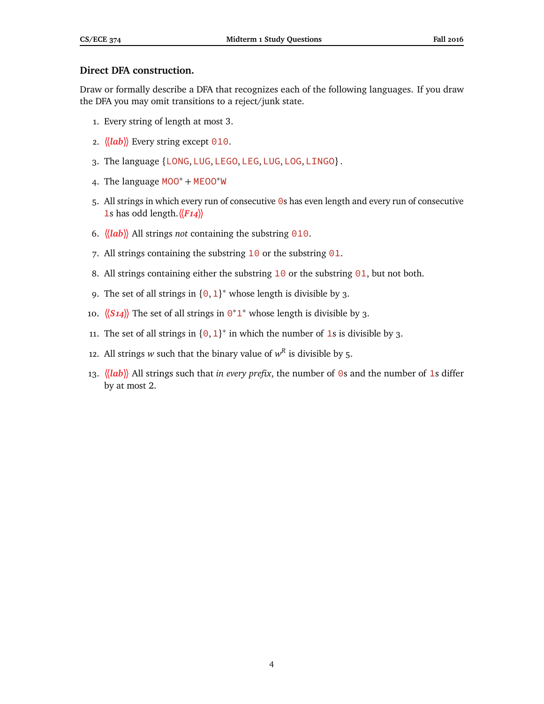# **Direct DFA construction.**

Draw or formally describe a DFA that recognizes each of the following languages. If you draw the DFA you may omit transitions to a reject/junk state.

- 1. Every string of length at most 3.
- 2. **〈〈***lab***〉〉** Every string except 010.
- 3. The language {LONG, LUG, LEGO, LEG, LUG, LOG, LINGO}.
- 4. The language MOO<sup>∗</sup> <sup>+</sup> MEOO∗<sup>W</sup>
- 5. All strings in which every run of consecutive 0s has even length and every run of consecutive 1s has odd length.**〈〈***F14***〉〉**
- 6. **〈〈***lab***〉〉** All strings *not* containing the substring 010.
- 7. All strings containing the substring  $10$  or the substring  $01$ .
- 8. All strings containing either the substring  $10$  or the substring  $01$ , but not both.
- 9. The set of all strings in  ${0, 1}^*$  whose length is divisible by 3.
- 10. *\{S14}*} The set of all strings in 0<sup>\*</sup>1<sup>\*</sup> whose length is divisible by 3.
- 11. The set of all strings in  $\{0, 1\}^*$  in which the number of 1s is divisible by 3.
- 12. All strings *w* such that the binary value of  $w^R$  is divisible by 5.
- 13. **〈〈***lab***〉〉** All strings such that *in every prefix*, the number of 0s and the number of 1s differ by at most 2.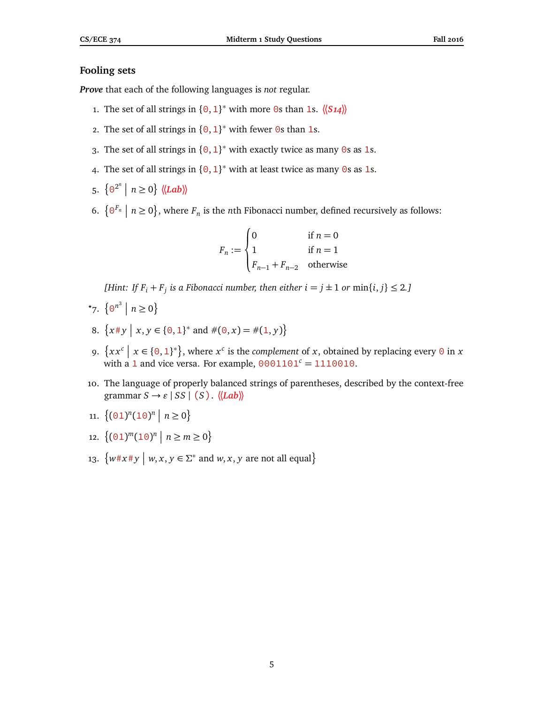# **Fooling sets**

*Prove* that each of the following languages is *not* regular.

- 1. The set of all strings in  $\{0, 1\}^*$  with more 0s than 1s.  $\langle \langle S_1 \rangle \rangle$
- 2. The set of all strings in  ${0, 1}^*$  with fewer 0s than 1s.
- 3. The set of all strings in  ${0,1}^*$  with exactly twice as many 0s as 1s.
- 4. The set of all strings in  ${0, 1}^*$  with at least twice as many 0s as 1s.
- 5.  $\left\{ \Theta^{2^n} \mid n \ge 0 \right\}$   $\langle \langle Lab \rangle \rangle$
- 6.  $\{0^{F_n} \mid n \ge 0\}$ , where  $F_n$  is the *n*th Fibonacci number, defined recursively as follows:

$$
F_n := \begin{cases} 0 & \text{if } n = 0\\ 1 & \text{if } n = 1\\ F_{n-1} + F_{n-2} & \text{otherwise} \end{cases}
$$

*[Hint: If*  $F_i + F_j$  *is a Fibonacci number, then either*  $i = j \pm 1$  *or*  $\min\{i, j\} \leq 2$ .*]* 

- \*7.  $\{0^{n^3} \mid n \ge 0\}$
- 8.  $\{x \# y \mid x, y \in \{0, 1\}^* \text{ and } \#(0, x) = \#(1, y)\}\$
- 9.  $\{xx^c \mid x \in \{0,1\}^*\}$ , where  $x^c$  is the *complement* of *x*, obtained by replacing every 0 in *x* with a 1 and vice versa. For example,  $0001101<sup>c</sup> = 1110010$ .
- 10. The language of properly balanced strings of parentheses, described by the context-free  $\text{grammar } S \rightarrow \varepsilon \mid SS \mid (S)$ .  $\langle \langle Lab \rangle \rangle$
- 11.  $\{(\text{01})^n(\text{10})^n \mid n \geq 0\}$
- 12.  $\{(\Theta_1)^m(1\Theta)^n \mid n \geq m \geq 0\}$
- 13.  $\{w \# x \# y \mid w, x, y \in \Sigma^* \text{ and } w, x, y \text{ are not all equal}\}$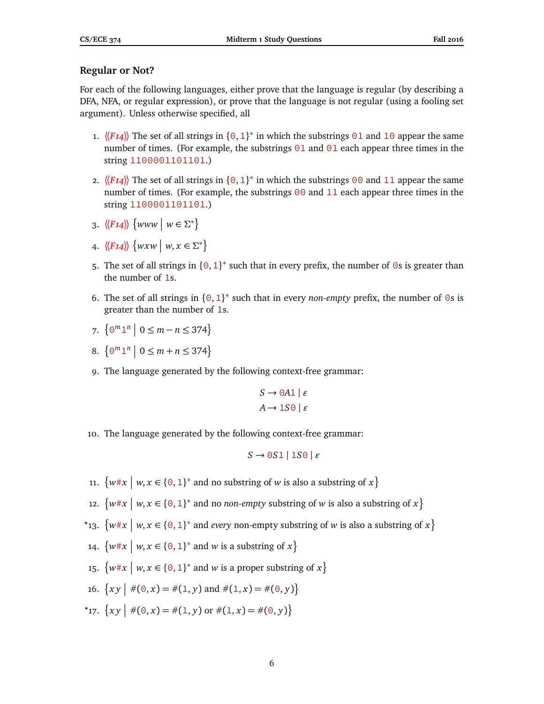# **Regular or Not?**

For each of the following languages, either prove that the language is regular (by describing a DFA, NFA, or regular expression), or prove that the language is not regular (using a fooling set argument). Unless otherwise specified, all

- 1.  $\langle$ *F14*) The set of all strings in {0, 1}<sup>\*</sup> in which the substrings 01 and 10 appear the same number of times. (For example, the substrings  $\theta$ 1 and  $\theta$ 1 each appear three times in the string 1100001101101.)
- 2.  $\langle F14 \rangle$  The set of all strings in  $\{0, 1\}^*$  in which the substrings 00 and 11 appear the same number of times. (For example, the substrings  $\theta\theta$  and 11 each appear three times in the string 1100001101101.)
- 3.  $\langle \langle F14 \rangle \rangle$   $\{www \mid w \in \Sigma^* \}$
- 4.  $\langle \langle F14 \rangle \rangle$   $\{ wxw \mid w, x \in \Sigma^* \}$
- 5. The set of all strings in  $\{0, 1\}^*$  such that in every prefix, the number of 0s is greater than the number of 1s.
- 6. The set of all strings in  $\{0, 1\}^*$  such that in every *non-empty* prefix, the number of 0s is greater than the number of 1s.

$$
7. \ \left\{ \Theta^m \mathbf{1}^n \; \middle| \; 0 \le m - n \le 374 \right\}
$$

- 8.  $\{ \Theta^m \mathbf{1}^n \mid 0 \leq m + n \leq 374 \}$
- 9. The language generated by the following context-free grammar:

$$
S \to 0A1 \mid \varepsilon
$$

$$
A \to 1S0 \mid \varepsilon
$$

10. The language generated by the following context-free grammar:

$$
S \rightarrow 0S1 \mid 1S0 \mid \varepsilon
$$

- 11.  $\{w \# x \mid w, x \in \{0, 1\}^* \text{ and no substring of } w \text{ is also a substring of } x\}$
- 12.  $\{w \# x \mid w, x \in \{0, 1\}^* \text{ and no non-empty substring of } w \text{ is also a substring of } x\}$
- <sup>\*</sup>13.  $\{w \# x \mid w, x \in \{0, 1\}^* \text{ and every non-empty substring of } w \text{ is also a substring of } x\}$
- 14.  $\{w \# x \mid w, x \in \{0, 1\}^* \text{ and } w \text{ is a substring of } x\}$
- 15.  $\{w \# x \mid w, x \in \{0, 1\}^* \text{ and } w \text{ is a proper substring of } x\}$
- 16.  $\{xy \mid \#(0, x) = \#(1, y) \text{ and } \#(1, x) = \#(0, y)\}\$
- \*17.  $\{xy \mid \#(0, x) = \#(1, y) \text{ or } \#(1, x) = \#(0, y)\}\$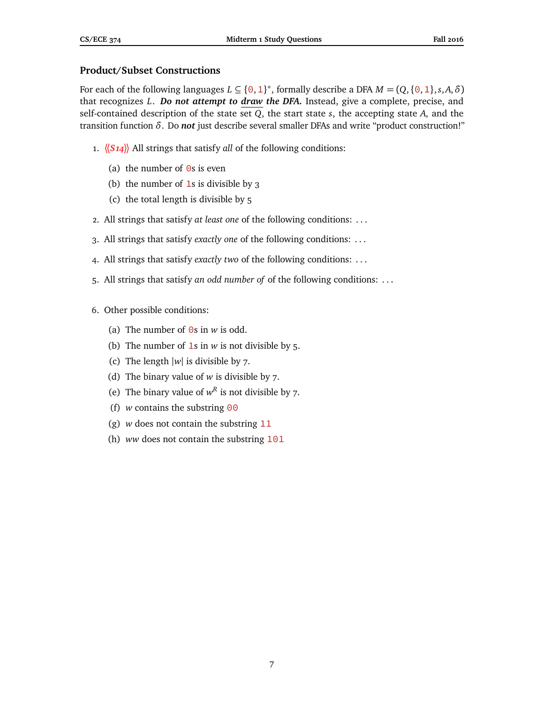# **Product/Subset Constructions**

For each of the following languages  $L \subseteq \{0, 1\}^*$ , formally describe a DFA  $M = (Q, \{0, 1\}, s, A, \delta)$ that recognizes *L*. *Do not attempt to draw the DFA.* Instead, give a complete, precise, and self-contained description of the state set *Q*, the start state *s*, the accepting state *A*, and the transition function *δ*. Do *not* just describe several smaller DFAs and write "product construction!"

- 1. **〈〈***S14***〉〉** All strings that satisfy *all* of the following conditions:
	- (a) the number of  $\Theta$ s is even
	- (b) the number of  $1s$  is divisible by 3
	- (c) the total length is divisible by 5
- 2. All strings that satisfy *at least one* of the following conditions: . . .
- 3. All strings that satisfy *exactly one* of the following conditions: . . .
- 4. All strings that satisfy *exactly two* of the following conditions: . . .
- 5. All strings that satisfy *an odd number of* of the following conditions: . . .
- 6. Other possible conditions:
	- (a) The number of  $\Theta$ s in *w* is odd.
	- (b) The number of  $1s$  in  $w$  is not divisible by 5.
	- (c) The length  $|w|$  is divisible by 7.
	- (d) The binary value of *w* is divisible by 7.
	- (e) The binary value of  $w^R$  is not divisible by 7.
	- (f) *w* contains the substring  $\theta\theta$
	- (g) *w* does not contain the substring 11
	- (h) *ww* does not contain the substring 101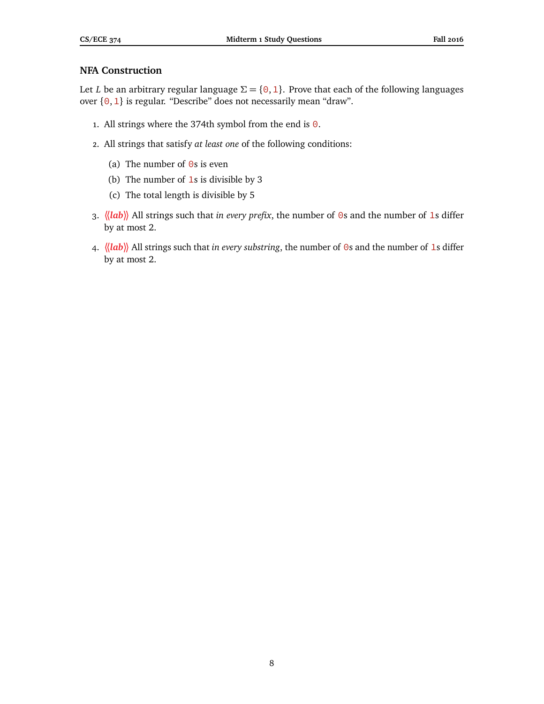# **NFA Construction**

Let *L* be an arbitrary regular language  $\Sigma = \{0, 1\}$ . Prove that each of the following languages over  $\{0, 1\}$  is regular. "Describe" does not necessarily mean "draw".

- 1. All strings where the 374th symbol from the end is  $\Theta$ .
- 2. All strings that satisfy *at least one* of the following conditions:
	- (a) The number of  $\Theta$ s is even
	- (b) The number of 1s is divisible by 3
	- (c) The total length is divisible by 5
- 3. **〈〈***lab***〉〉** All strings such that *in every prefix*, the number of 0s and the number of 1s differ by at most 2.
- 4.  $\langle \langle \mathbf{lab} \rangle \rangle$  All strings such that *in every substring*, the number of  $\odot$ s and the number of 1s differ by at most 2.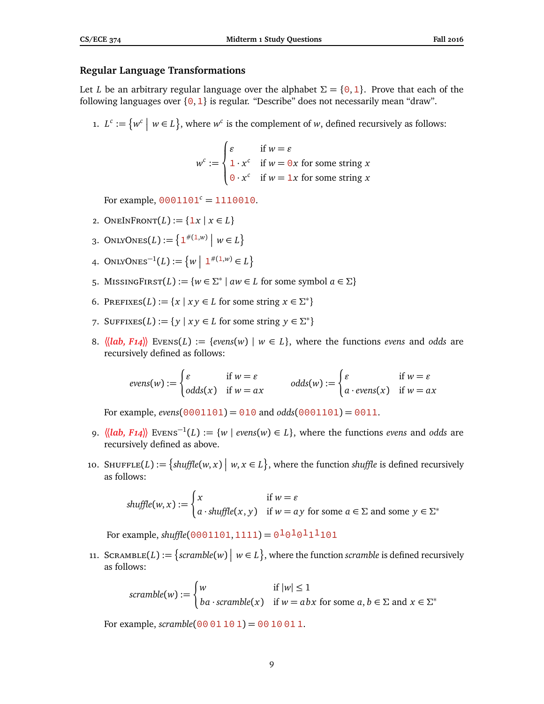## **Regular Language Transformations**

Let *L* be an arbitrary regular language over the alphabet  $\Sigma = \{0, 1\}$ . Prove that each of the following languages over  $\{0,1\}$  is regular. "Describe" does not necessarily mean "draw".

1.  $L^c := \{ w^c \mid w \in L \}$ , where  $w^c$  is the complement of *w*, defined recursively as follows:

$$
w^{c} := \begin{cases} \varepsilon & \text{if } w = \varepsilon \\ 1 \cdot x^{c} & \text{if } w = 0x \text{ for some string } x \\ 0 \cdot x^{c} & \text{if } w = 1x \text{ for some string } x \end{cases}
$$

For example,  $0001101<sup>c</sup> = 1110010$ .

- 2. ONEINFRONT $(L) := \{ \exists x \mid x \in L \}$
- 3. ONLYONES(*L*) :=  $\{1^{*(1,w)} | w \in L\}$
- 4. ONLYONES<sup>-1</sup>(L) := { $w | 1^{*(1,w)} \in L$ }
- 5. MISSINGFIRST(*L*) := { $w \in \Sigma^* \mid aw \in L$  for some symbol  $a \in \Sigma$ }
- 6. PREFIXES(*L*) := { $x | xy \in L$  for some string  $x \in \Sigma^*$ }
- 7. SUFFIXES(*L*) := { $y | xy \in L$  for some string  $y \in \Sigma^*$ }
- 8.  $\langle \langle \mathbf{lab}, \mathbf{F14} \rangle \rangle$  Evens $(L) := \{ \mathbf{evens}(w) \mid w \in L \}$ , where the functions *evens* and *odds* are recursively defined as follows:

$$
evens(w) := \begin{cases} \varepsilon & \text{if } w = \varepsilon \\ odds(x) & \text{if } w = ax \end{cases} \qquad odds(w) := \begin{cases} \varepsilon & \text{if } w = \varepsilon \\ a \cdot evens(x) & \text{if } w = ax \end{cases}
$$

For example, *evens*( $\theta \theta \theta 1101$ ) =  $\theta \theta 10$  and *odds*( $\theta \theta \theta 1101$ ) =  $\theta \theta 11$ .

- 9.  $\langle \langle \mathbf{lab}, \mathbf{F14} \rangle \rangle$  Evens<sup>-1</sup>(*L*) := {*w* | *evens*(*w*) ∈ *L*}, where the functions *evens* and *odds* are recursively defined as above.
- 10. SHUFFLE(*L*) := { $shuffle(w, x) \mid w, x \in L$ }, where the function *shuffle* is defined recursively as follows:

$$
shuffle(w, x) := \begin{cases} x & \text{if } w = \varepsilon \\ a \cdot shuffle(x, y) & \text{if } w = ay \text{ for some } a \in \Sigma \text{ and some } y \in \Sigma^* \end{cases}
$$

For example, *shuffle*( $\theta$ 001101, 1111) =  $\theta$ <sup>1</sup> $\theta$ <sup>1</sup> $\theta$ <sup>1</sup>1<sup>1</sup>101

11. SCRAMBLE(*L*) := {scramble(*w*) |  $w \in L$ }, where the function scramble is defined recursively as follows:

$$
scramble(w) := \begin{cases} w & \text{if } |w| \le 1 \\ ba \cdot scramble(x) & \text{if } w = abx \text{ for some } a, b \in \Sigma \text{ and } x \in \Sigma^* \end{cases}
$$

For example,  $scramble(0001101) = 0010011$ .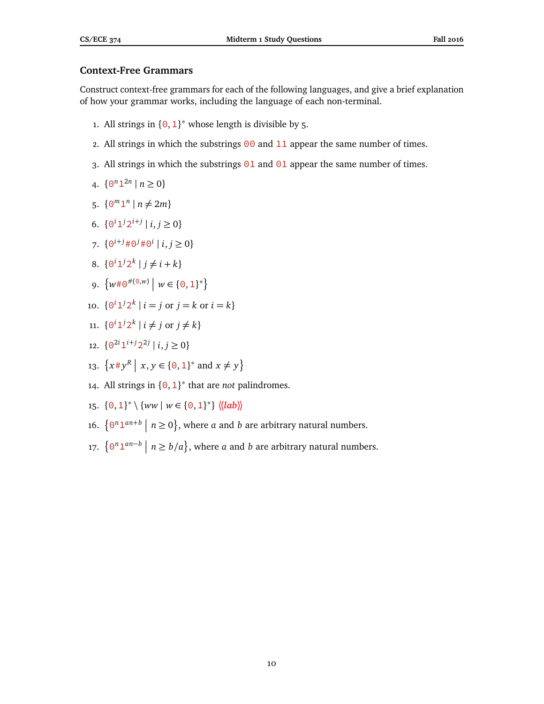# **Context-Free Grammars**

Construct context-free grammars for each of the following languages, and give a brief explanation of how your grammar works, including the language of each non-terminal.

- 1. All strings in  ${0, 1}^*$  whose length is divisible by 5.
- 2. All strings in which the substrings  $00$  and  $11$  appear the same number of times.
- 3. All strings in which the substrings  $\theta$ 1 and  $\theta$ 1 appear the same number of times.

4. 
$$
\{ \Theta^n 1^{2n} \mid n \ge 0 \}
$$

5. 
$$
\{ \Theta^m \mathbf{1}^n \mid n \neq 2m \}
$$

6. 
$$
\{0^i 1^j 2^{i+j} \mid i, j \ge 0\}
$$

- 7.  $\{0^{i+j} \# 0^j \# 0^i \mid i, j \ge 0\}$
- 8.  $\{0^i 1^j 2^k \mid j \neq i + k\}$
- 9.  $\{w\#0^{\#(0,w)} \mid w \in \{0,1\}^*\}$
- 10.  $\{0^i 1^j 2^k \mid i = j \text{ or } j = k \text{ or } i = k\}$
- 11.  $\{0^i 1^j 2^k \mid i \neq j \text{ or } j \neq k\}$
- 12.  $\{0^{2i}1^{i+j}2^{2j} | i, j \ge 0\}$
- 13.  $\{x \# y^R \mid x, y \in \{0, 1\}^* \text{ and } x \neq y\}$
- 14. All strings in {0,1} ∗ that are *not* palindromes.
- 15.  $\{0, 1\}^* \setminus \{ww \mid w \in \{0, 1\}^*\}$   $\langle \langle lab \rangle \rangle$
- 16.  $\{0^n 1^{an+b} \mid n \ge 0\}$ , where *a* and *b* are arbitrary natural numbers.
- 17.  $\{0^n 1^{an-b} \mid n \ge b/a\}$ , where *a* and *b* are arbitrary natural numbers.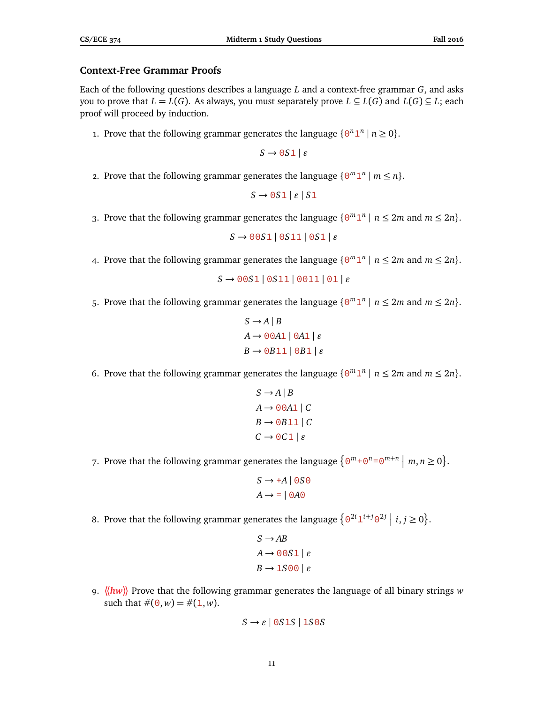## **Context-Free Grammar Proofs**

Each of the following questions describes a language *L* and a context-free grammar *G*, and asks you to prove that  $L = L(G)$ . As always, you must separately prove  $L \subseteq L(G)$  and  $L(G) \subseteq L$ ; each proof will proceed by induction.

1. Prove that the following grammar generates the language  $\{0^n 1^n \mid n \geq 0\}$ .

 $S \rightarrow 0.051$  |  $\varepsilon$ 

2. Prove that the following grammar generates the language  $\{0^m 1^n \mid m \leq n\}$ .

 $S \rightarrow 0S1 | \varepsilon | S1$ 

3. Prove that the following grammar generates the language  $\{0^m 1^n \mid n \le 2m \text{ and } m \le 2n\}.$ 

 $S \rightarrow 00S1 | 0S11 | 0S1 | \varepsilon$ 

4. Prove that the following grammar generates the language  $\{0^m 1^n \mid n \le 2m \text{ and } m \le 2n\}.$ 

```
S \rightarrow 0.051 | 0.0511 | 0.011 | 0.11
```
5. Prove that the following grammar generates the language  $\{0^m 1^n \mid n \le 2m \text{ and } m \le 2n\}.$ 

```
S \rightarrow A \mid BA \rightarrow 00A1 | 0A1 | \varepsilonB \rightarrow \Theta B11 | \Theta B1 | \varepsilon
```
6. Prove that the following grammar generates the language  $\{0^m 1^n \mid n \le 2m \text{ and } m \le 2n\}.$ 

```
S \rightarrow A \mid BA \rightarrow 00A1 | C
B \rightarrow \Theta B11 | CC \rightarrow 0C1 \mid \varepsilon
```
7. Prove that the following grammar generates the language  $\{0^m + 0^n = 0^{m+n} \mid m, n \ge 0\}.$ 

```
S \rightarrow +A | 0S\ThetaA \rightarrow = | 0 A 0
```
8. Prove that the following grammar generates the language  $\{0^{2i}1^{i+j}0^{2j} \mid i,j \ge 0\}$ .

```
S \rightarrow ABA \rightarrow 00S1 | \varepsilonB \rightarrow 1500 | \varepsilon
```
9. **〈〈***hw***〉〉** Prove that the following grammar generates the language of all binary strings *w* such that  $\#(0, w) = \#(1, w)$ .

$$
S \to \varepsilon \mid 0S1S \mid 1S0S
$$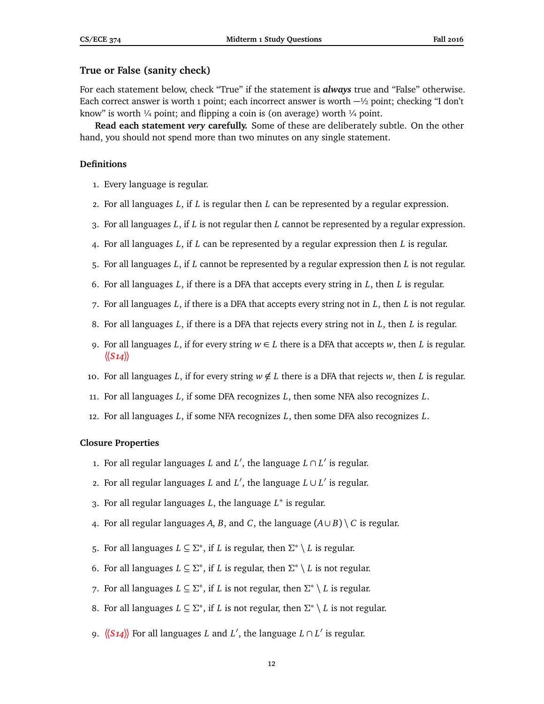## **True or False (sanity check)**

For each statement below, check "True" if the statement is *always* true and "False" otherwise. Each correct answer is worth 1 point; each incorrect answer is worth  $-\frac{1}{2}$  point; checking "I don't know" is worth  $\frac{1}{4}$  point; and flipping a coin is (on average) worth  $\frac{1}{4}$  point.

**Read each statement** *very* **carefully.** Some of these are deliberately subtle. On the other hand, you should not spend more than two minutes on any single statement.

#### **Definitions**

- 1. Every language is regular.
- 2. For all languages *L*, if *L* is regular then *L* can be represented by a regular expression.
- 3. For all languages *L*, if *L* is not regular then *L* cannot be represented by a regular expression.
- 4. For all languages *L*, if *L* can be represented by a regular expression then *L* is regular.
- 5. For all languages *L*, if *L* cannot be represented by a regular expression then *L* is not regular.
- 6. For all languages *L*, if there is a DFA that accepts every string in *L*, then *L* is regular.
- 7. For all languages *L*, if there is a DFA that accepts every string not in *L*, then *L* is not regular.
- 8. For all languages *L*, if there is a DFA that rejects every string not in *L*, then *L* is regular.
- 9. For all languages L, if for every string  $w \in L$  there is a DFA that accepts w, then L is regular. **〈〈***S14***〉〉**
- 10. For all languages *L*, if for every string  $w \notin L$  there is a DFA that rejects *w*, then *L* is regular.
- 11. For all languages *L*, if some DFA recognizes *L*, then some NFA also recognizes *L*.
- 12. For all languages *L*, if some NFA recognizes *L*, then some DFA also recognizes *L*.

#### **Closure Properties**

- 1. For all regular languages *L* and  $L'$ , the language  $L \cap L'$  is regular.
- 2. For all regular languages *L* and  $L'$ , the language  $L ∪ L'$  is regular.
- 3. For all regular languages *L*, the language *L* ∗ is regular.
- 4. For all regular languages *A*, *B*, and *C*, the language  $(A \cup B) \setminus C$  is regular.
- 5. For all languages  $L \subseteq \Sigma^*$ , if *L* is regular, then  $\Sigma^* \setminus L$  is regular.
- 6. For all languages  $L \subseteq \Sigma^*$ , if *L* is regular, then  $\Sigma^* \setminus L$  is not regular.
- 7. For all languages  $L \subseteq \Sigma^*$ , if *L* is not regular, then  $\Sigma^* \setminus L$  is regular.
- 8. For all languages  $L \subseteq \Sigma^*$ , if *L* is not regular, then  $\Sigma^* \setminus L$  is not regular.
- 9.  $\langle \langle S14 \rangle \rangle$  For all languages *L* and *L'*, the language  $L \cap L'$  is regular.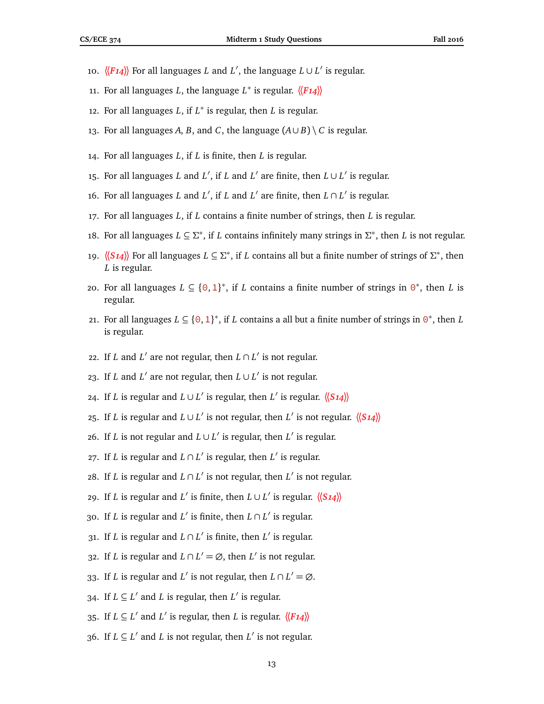- 10.  $\langle \langle F14 \rangle \rangle$  For all languages *L* and *L'*, the language  $L \cup L'$  is regular.
- 11. For all languages *L*, the language *L* ∗ is regular. **〈〈***F14***〉〉**
- 12. For all languages *L*, if *L* ∗ is regular, then *L* is regular.
- 13. For all languages *A*, *B*, and *C*, the language  $(A \cup B) \setminus C$  is regular.
- 14. For all languages *L*, if *L* is finite, then *L* is regular.
- 15. For all languages *L* and *L'*, if *L* and *L'* are finite, then  $L \cup L'$  is regular.
- 16. For all languages *L* and *L'*, if *L* and *L'* are finite, then  $L \cap L'$  is regular.
- 17. For all languages *L*, if *L* contains a finite number of strings, then *L* is regular.
- 18. For all languages *L* ⊆ Σ<sup>\*</sup>, if *L* contains infinitely many strings in Σ<sup>\*</sup>, then *L* is not regular.
- 19.  $\langle$  (*S* 14) For all languages *L* ⊆ Σ<sup>\*</sup>, if *L* contains all but a finite number of strings of Σ<sup>\*</sup>, then *L* is regular.
- 20. For all languages  $L \subseteq \{0, 1\}^*$ , if *L* contains a finite number of strings in  $0^*$ , then *L* is regular.
- 21. For all languages  $L \subseteq \{0, 1\}^*$ , if *L* contains a all but a finite number of strings in  $\Theta^*$ , then *L* is regular.
- 22. If *L* and *L'* are not regular, then  $L \cap L'$  is not regular.
- 23. If *L* and *L'* are not regular, then  $L \cup L'$  is not regular.
- 24. If *L* is regular and *L*∪*L'* is regular, then *L'* is regular.  $\langle$   $\langle S14 \rangle$
- 25. If *L* is regular and *L*∪*L'* is not regular, then *L'* is not regular.  $\langle \langle S_1 4 \rangle \rangle$
- 26. If *L* is not regular and  $L ∪ L'$  is regular, then  $L'$  is regular.
- 27. If *L* is regular and  $L \cap L'$  is regular, then  $L'$  is regular.
- 28. If *L* is regular and  $L ∩ L'$  is not regular, then  $L'$  is not regular.
- 29. If *L* is regular and *L'* is finite, then  $L \cup L'$  is regular.  $\langle \langle S_1 4 \rangle \rangle$
- 30. If *L* is regular and *L'* is finite, then  $L \cap L'$  is regular.
- 31. If *L* is regular and  $L \cap L'$  is finite, then  $L'$  is regular.
- 32. If *L* is regular and  $L \cap L' = \emptyset$ , then  $L'$  is not regular.
- 33. If *L* is regular and *L'* is not regular, then  $L \cap L' = \emptyset$ .
- 34. If  $L \subseteq L'$  and *L* is regular, then  $L'$  is regular.
- 35. If  $L \subseteq L'$  and  $L'$  is regular, then *L* is regular.  $\langle \langle F_14 \rangle \rangle$
- 36. If  $L ⊆ L'$  and  $L$  is not regular, then  $L'$  is not regular.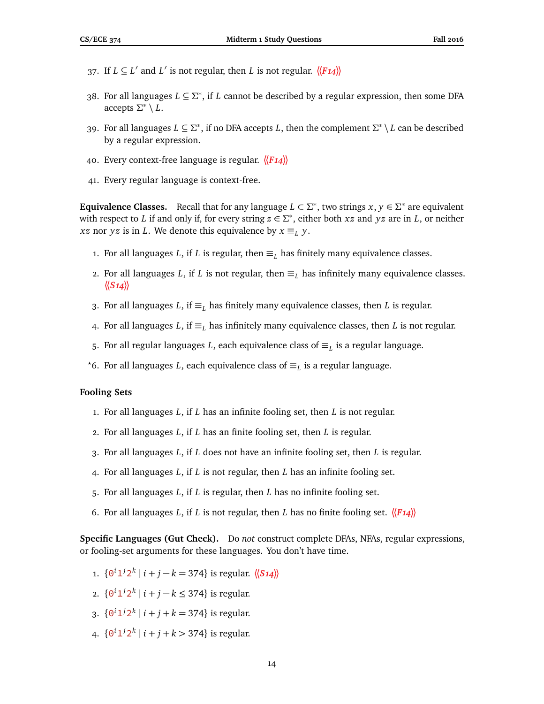- 37. If  $L \subseteq L'$  and  $L'$  is not regular, then *L* is not regular.  $\langle \langle F_1 \rangle \rangle$
- 38. For all languages *L* ⊆ *Σ* ∗ , if *L* cannot be described by a regular expression, then some DFA accepts *Σ* ∗ \ *L*.
- 39. For all languages *L* ⊆ *Σ* ∗ , if no DFA accepts *L*, then the complement *Σ* ∗ \ *L* can be described by a regular expression.
- 40. Every context-free language is regular. **〈〈***F14***〉〉**
- 41. Every regular language is context-free.

**Equivalence Classes.** Recall that for any language  $L \subset \Sigma^*$ , two strings  $x, y \in \Sigma^*$  are equivalent with respect to *L* if and only if, for every string  $z \in \Sigma^*$ , either both *xz* and *yz* are in *L*, or neither *xz* nor *yz* is in *L*. We denote this equivalence by  $x \equiv_L y$ .

- 1. For all languages *L*, if *L* is regular, then  $\equiv_L$  has finitely many equivalence classes.
- 2. For all languages *L*, if *L* is not regular, then  $\equiv_L$  has infinitely many equivalence classes. **〈〈***S14***〉〉**
- 3. For all languages *L*, if ≡*<sup>L</sup>* has finitely many equivalence classes, then *L* is regular.
- 4. For all languages *L*, if ≡*<sup>L</sup>* has infinitely many equivalence classes, then *L* is not regular.
- 5. For all regular languages *L*, each equivalence class of  $\equiv_L$  is a regular language.
- *?*6. For all languages *L*, each equivalence class of ≡*<sup>L</sup>* is a regular language.

## **Fooling Sets**

- 1. For all languages *L*, if *L* has an infinite fooling set, then *L* is not regular.
- 2. For all languages *L*, if *L* has an finite fooling set, then *L* is regular.
- 3. For all languages *L*, if *L* does not have an infinite fooling set, then *L* is regular.
- 4. For all languages *L*, if *L* is not regular, then *L* has an infinite fooling set.
- 5. For all languages *L*, if *L* is regular, then *L* has no infinite fooling set.
- 6. For all languages *L*, if *L* is not regular, then *L* has no finite fooling set.  $\langle \langle F_1 \rangle \rangle$

**Specific Languages (Gut Check).** Do *not* construct complete DFAs, NFAs, regular expressions, or fooling-set arguments for these languages. You don't have time.

- 1.  $\{0^i 1^j 2^k | i + j k = 374\}$  is regular.  $\langle \langle S_1 4 \rangle \rangle$
- 2.  $\{0^i 1^j 2^k \mid i + j k \leq 374\}$  is regular.
- 3.  $\{0^i 1^j 2^k \mid i + j + k = 374\}$  is regular.
- 4.  $\{0^i 1^j 2^k \mid i + j + k > 374\}$  is regular.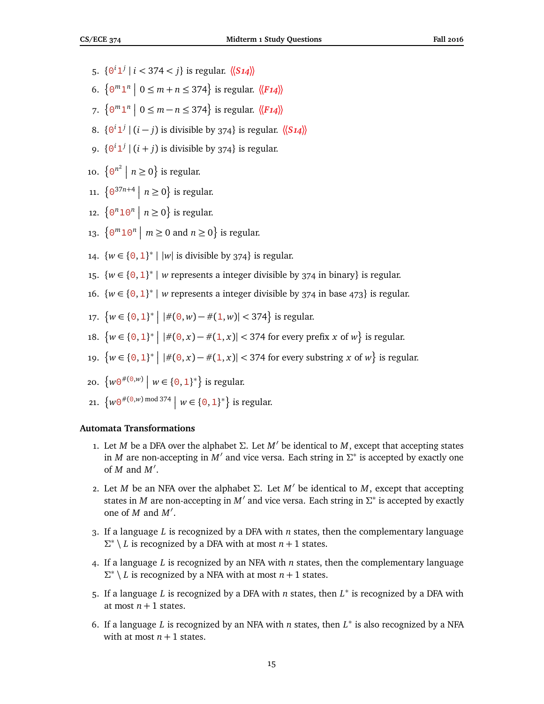- 5.  $\{0^i 1^j \mid i < 374 < j\}$  is regular.  $\langle \langle S14 \rangle \rangle$
- 6.  $\{0^m1^n \mid 0 \le m + n \le 374\}$  is regular.  $\langle \langle F14 \rangle \rangle$
- 7.  $\left\{ 0^m 1^n \mid 0 \le m n \le 374 \right\}$  is regular.  $\langle \langle F14 \rangle \rangle$
- 8.  $\{0^i 1^j | (i j)$  is divisible by 374} is regular.  $\langle \langle S_1 4 \rangle \rangle$
- 9.  $\{0^i 1^j | (i+j)$  is divisible by 374} is regular.
- 10.  $\left\{\Theta^{n^2} \mid n \ge 0\right\}$  is regular.
- 11.  $\{ \Theta^{37n+4} \mid n \geq 0 \}$  is regular.
- 12.  $\{ \Theta^n 1 \Theta^n \mid n \geq 0 \}$  is regular.
- 13.  $\{ \Theta^m 10^n \mid m \ge 0 \text{ and } n \ge 0 \}$  is regular.
- 14.  $\{w \in \{0, 1\}^* \mid |w| \text{ is divisible by } 374\} \text{ is regular.}$
- 15.  $\{w \in \{0, 1\}^* \mid w \}$  represents a integer divisible by 374 in binary} is regular.
- 16.  $\{w \in \{0, 1\}^* \mid w \}$  represents a integer divisible by 374 in base 473} is regular.
- 17.  $\{w \in \{0, 1\}^* \mid |\#(0, w) \#(1, w)| < 374\}$  is regular.
- 18.  $\{w \in \{0, 1\}^* \mid |\#(0, x) \#(1, x)| < 374 \text{ for every prefix } x \text{ of } w\} \text{ is regular.}$
- 19.  $\{w \in \{0, 1\}^* \mid |\#(0, x) \#(1, x)| < 374 \text{ for every substring } x \text{ of } w\} \text{ is regular.}$
- 20.  $\{w\Theta^{\#(\Theta,w)} \mid w \in \{\Theta,1\}^*\}$  is regular.
- 21.  $\{w \in \{0, 1\}^*\}$  is regular.

## **Automata Transformations**

- 1. Let *M* be a DFA over the alphabet Σ. Let  $M'$  be identical to *M*, except that accepting states in *M* are non-accepting in  $M'$  and vice versa. Each string in  $\Sigma^*$  is accepted by exactly one of  $M$  and  $M'$ .
- 2. Let *M* be an NFA over the alphabet Σ. Let  $M'$  be identical to *M*, except that accepting states in *M* are non-accepting in *M'* and vice versa. Each string in  $\Sigma^*$  is accepted by exactly one of  $M$  and  $M'$ .
- 3. If a language *L* is recognized by a DFA with *n* states, then the complementary language  $\Sigma^* \setminus L$  is recognized by a DFA with at most  $n + 1$  states.
- 4. If a language *L* is recognized by an NFA with *n* states, then the complementary language *Σ* ∗ \ *L* is recognized by a NFA with at most *n* + 1 states.
- 5. If a language *L* is recognized by a DFA with *n* states, then *L* ∗ is recognized by a DFA with at most  $n + 1$  states.
- 6. If a language *L* is recognized by an NFA with *n* states, then *L* ∗ is also recognized by a NFA with at most  $n + 1$  states.